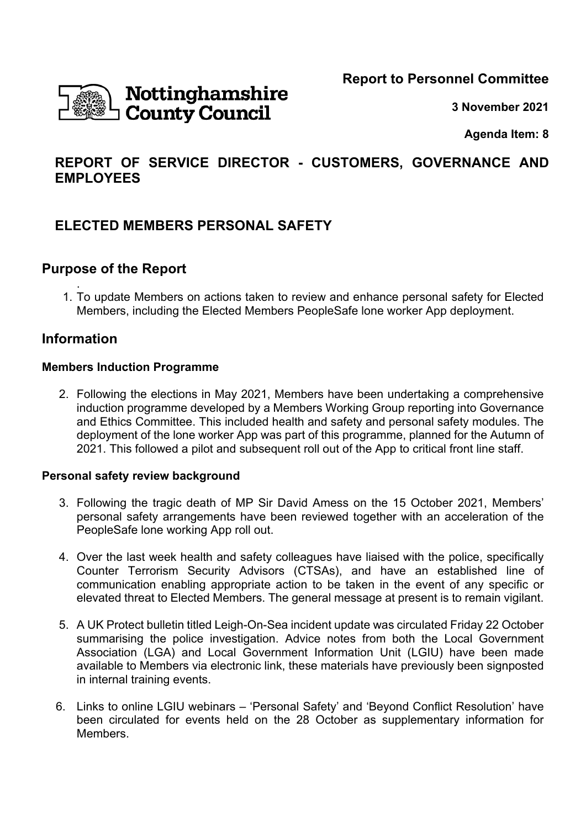**Report to Personnel Committee** 



**3 November 2021** 

**Agenda Item: 8** 

# **REPORT OF SERVICE DIRECTOR - CUSTOMERS, GOVERNANCE AND EMPLOYEES**

# **ELECTED MEMBERS PERSONAL SAFETY**

## **Purpose of the Report**

. 1. To update Members on actions taken to review and enhance personal safety for Elected Members, including the Elected Members PeopleSafe lone worker App deployment.

## **Information**

### **Members Induction Programme**

2. Following the elections in May 2021, Members have been undertaking a comprehensive induction programme developed by a Members Working Group reporting into Governance and Ethics Committee. This included health and safety and personal safety modules. The deployment of the lone worker App was part of this programme, planned for the Autumn of 2021. This followed a pilot and subsequent roll out of the App to critical front line staff.

#### **Personal safety review background**

- 3. Following the tragic death of MP Sir David Amess on the 15 October 2021, Members' personal safety arrangements have been reviewed together with an acceleration of the PeopleSafe lone working App roll out.
- 4. Over the last week health and safety colleagues have liaised with the police, specifically Counter Terrorism Security Advisors (CTSAs), and have an established line of communication enabling appropriate action to be taken in the event of any specific or elevated threat to Elected Members. The general message at present is to remain vigilant.
- 5. A UK Protect bulletin titled Leigh-On-Sea incident update was circulated Friday 22 October summarising the police investigation. Advice notes from both the Local Government Association (LGA) and Local Government Information Unit (LGIU) have been made available to Members via electronic link, these materials have previously been signposted in internal training events.
- 6. Links to online LGIU webinars 'Personal Safety' and 'Beyond Conflict Resolution' have been circulated for events held on the 28 October as supplementary information for Members.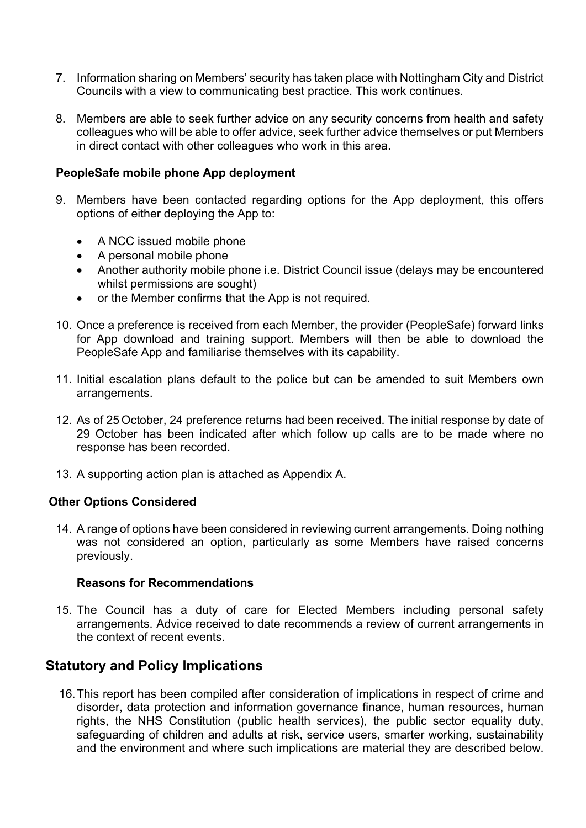- 7. Information sharing on Members' security has taken place with Nottingham City and District Councils with a view to communicating best practice. This work continues.
- 8. Members are able to seek further advice on any security concerns from health and safety colleagues who will be able to offer advice, seek further advice themselves or put Members in direct contact with other colleagues who work in this area.

#### **PeopleSafe mobile phone App deployment**

- 9. Members have been contacted regarding options for the App deployment, this offers options of either deploying the App to:
	- A NCC issued mobile phone
	- A personal mobile phone
	- Another authority mobile phone i.e. District Council issue (delays may be encountered whilst permissions are sought)
	- or the Member confirms that the App is not required.
- 10. Once a preference is received from each Member, the provider (PeopleSafe) forward links for App download and training support. Members will then be able to download the PeopleSafe App and familiarise themselves with its capability.
- 11. Initial escalation plans default to the police but can be amended to suit Members own arrangements.
- 12. As of 25 October, 24 preference returns had been received. The initial response by date of 29 October has been indicated after which follow up calls are to be made where no response has been recorded.
- 13. A supporting action plan is attached as Appendix A.

#### **Other Options Considered**

14. A range of options have been considered in reviewing current arrangements. Doing nothing was not considered an option, particularly as some Members have raised concerns previously.

#### **Reasons for Recommendations**

15. The Council has a duty of care for Elected Members including personal safety arrangements. Advice received to date recommends a review of current arrangements in the context of recent events.

## **Statutory and Policy Implications**

16. This report has been compiled after consideration of implications in respect of crime and disorder, data protection and information governance finance, human resources, human rights, the NHS Constitution (public health services), the public sector equality duty, safeguarding of children and adults at risk, service users, smarter working, sustainability and the environment and where such implications are material they are described below.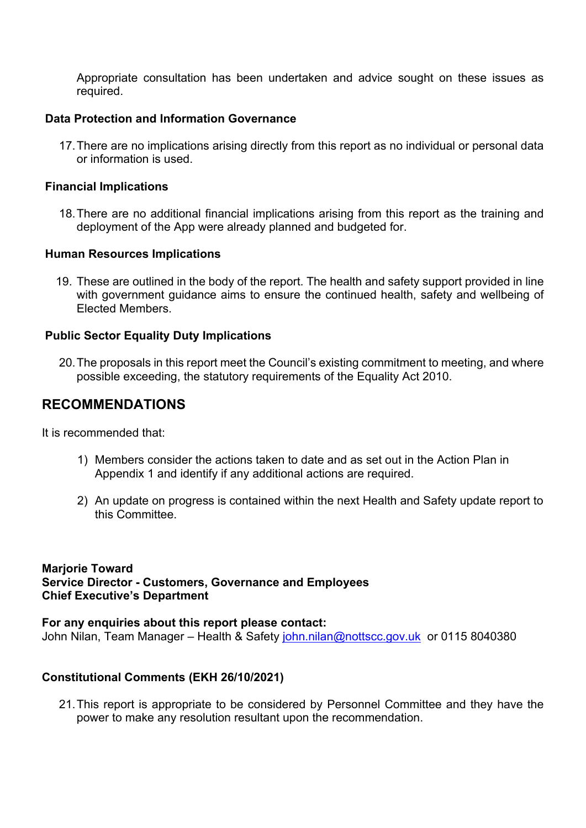Appropriate consultation has been undertaken and advice sought on these issues as required.

#### **Data Protection and Information Governance**

17. There are no implications arising directly from this report as no individual or personal data or information is used.

#### **Financial Implications**

18. There are no additional financial implications arising from this report as the training and deployment of the App were already planned and budgeted for.

#### **Human Resources Implications**

19. These are outlined in the body of the report. The health and safety support provided in line with government guidance aims to ensure the continued health, safety and wellbeing of Elected Members.

### **Public Sector Equality Duty Implications**

20. The proposals in this report meet the Council's existing commitment to meeting, and where possible exceeding, the statutory requirements of the Equality Act 2010.

## **RECOMMENDATIONS**

It is recommended that:

- 1) Members consider the actions taken to date and as set out in the Action Plan in Appendix 1 and identify if any additional actions are required.
- 2) An update on progress is contained within the next Health and Safety update report to this Committee.

#### **Marjorie Toward Service Director - Customers, Governance and Employees Chief Executive's Department**

**For any enquiries about this report please contact:**  John Nilan, Team Manager – Health & Safety john.nilan@nottscc.gov.uk or 0115 8040380

## **Constitutional Comments (EKH 26/10/2021)**

21. This report is appropriate to be considered by Personnel Committee and they have the power to make any resolution resultant upon the recommendation.